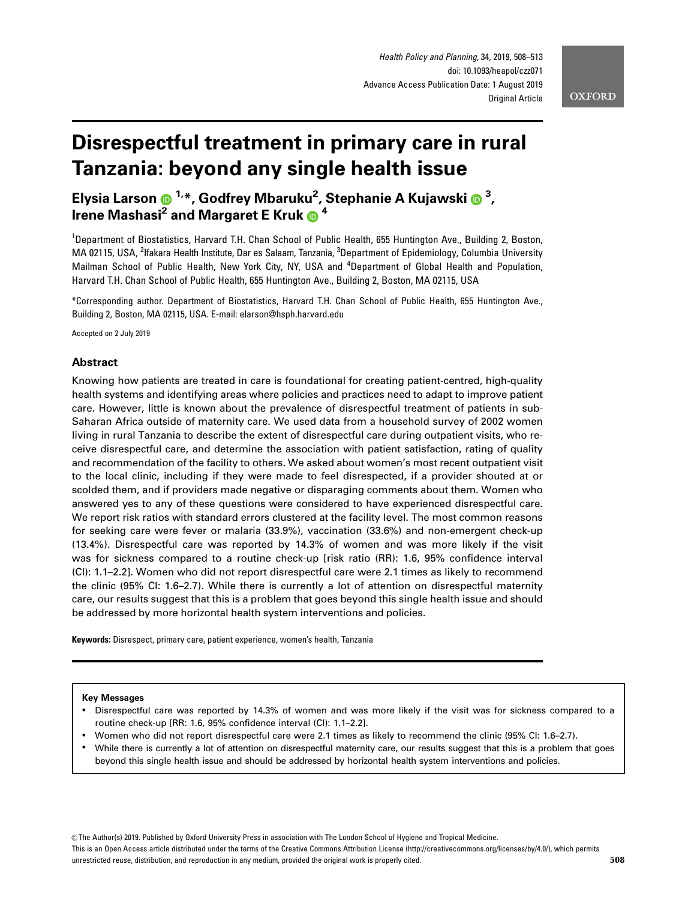# Disrespectful treatment in primary care in rural Tanzania: beyond any single health issue

Elysia Larson 1,\*, Godfrey Mbaruku2 , Stephanie A Kujawski <sup>3</sup> , Irene Mashasi<sup>2</sup> and Margaret E Kruk  $\bigcirc$ <sup>4</sup>

<sup>1</sup>Department of Biostatistics, Harvard T.H. Chan School of Public Health, 655 Huntington Ave., Building 2, Boston, MA 02115, USA, <sup>2</sup>lfakara Health Institute, Dar es Salaam, Tanzania, <sup>3</sup>Department of Epidemiology, Columbia University Mailman School of Public Health, New York City, NY, USA and <sup>4</sup>Department of Global Health and Population, Harvard T.H. Chan School of Public Health, 655 Huntington Ave., Building 2, Boston, MA 02115, USA

\*Corresponding author. Department of Biostatistics, Harvard T.H. Chan School of Public Health, 655 Huntington Ave., Building 2, Boston, MA 02115, USA. E-mail: elarson@hsph.harvard.edu

Accepted on 2 July 2019

## Abstract

Knowing how patients are treated in care is foundational for creating patient-centred, high-quality health systems and identifying areas where policies and practices need to adapt to improve patient care. However, little is known about the prevalence of disrespectful treatment of patients in sub-Saharan Africa outside of maternity care. We used data from a household survey of 2002 women living in rural Tanzania to describe the extent of disrespectful care during outpatient visits, who receive disrespectful care, and determine the association with patient satisfaction, rating of quality and recommendation of the facility to others. We asked about women's most recent outpatient visit to the local clinic, including if they were made to feel disrespected, if a provider shouted at or scolded them, and if providers made negative or disparaging comments about them. Women who answered yes to any of these questions were considered to have experienced disrespectful care. We report risk ratios with standard errors clustered at the facility level. The most common reasons for seeking care were fever or malaria (33.9%), vaccination (33.6%) and non-emergent check-up (13.4%). Disrespectful care was reported by 14.3% of women and was more likely if the visit was for sickness compared to a routine check-up [risk ratio (RR): 1.6, 95% confidence interval (CI): 1.1–2.2]. Women who did not report disrespectful care were 2.1 times as likely to recommend the clinic (95% CI: 1.6–2.7). While there is currently a lot of attention on disrespectful maternity care, our results suggest that this is a problem that goes beyond this single health issue and should be addressed by more horizontal health system interventions and policies.

Keywords: Disrespect, primary care, patient experience, women's health, Tanzania

#### Key Messages

- Disrespectful care was reported by 14.3% of women and was more likely if the visit was for sickness compared to a routine check-up [RR: 1.6, 95% confidence interval (CI): 1.1–2.2].
- Women who did not report disrespectful care were 2.1 times as likely to recommend the clinic (95% CI: 1.6–2.7).
- While there is currently a lot of attention on disrespectful maternity care, our results suggest that this is a problem that goes beyond this single health issue and should be addressed by horizontal health system interventions and policies.

V<sup>C</sup> The Author(s) 2019. Published by Oxford University Press in association with The London School of Hygiene and Tropical Medicine.

This is an Open Access article distributed under the terms of the Creative Commons Attribution License (http://creativecommons.org/licenses/by/4.0/), which permits unrestricted reuse, distribution, and reproduction in any medium, provided the original work is properly cited. 508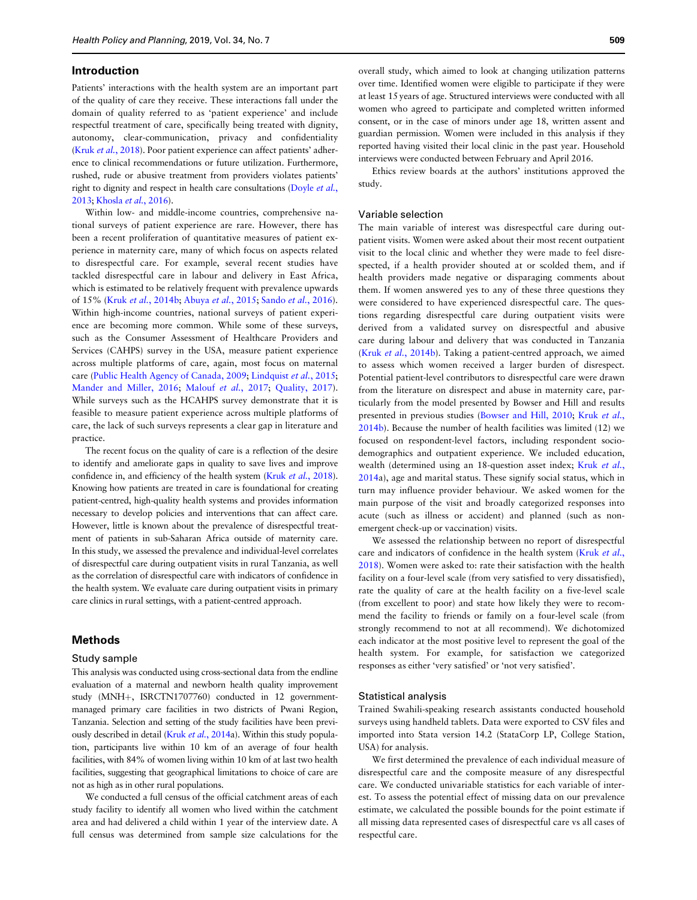#### Introduction

Patients' interactions with the health system are an important part of the quality of care they receive. These interactions fall under the domain of quality referred to as 'patient experience' and include respectful treatment of care, specifically being treated with dignity, autonomy, clear-communication, privacy and confidentiality (Kruk et al.[, 2018\)](#page-4-0). Poor patient experience can affect patients' adherence to clinical recommendations or future utilization. Furthermore, rushed, rude or abusive treatment from providers violates patients' right to dignity and respect in health care consultations ([Doyle](#page-4-0) *et al.*, [2013](#page-4-0); [Khosla](#page-4-0) et al., 2016).

Within low- and middle-income countries, comprehensive national surveys of patient experience are rare. However, there has been a recent proliferation of quantitative measures of patient experience in maternity care, many of which focus on aspects related to disrespectful care. For example, several recent studies have tackled disrespectful care in labour and delivery in East Africa, which is estimated to be relatively frequent with prevalence upwards of 15% (Kruk et al.[, 2014b](#page-4-0); [Abuya](#page-4-0) et al., 2015; Sando et al.[, 2016](#page-5-0)). Within high-income countries, national surveys of patient experience are becoming more common. While some of these surveys, such as the Consumer Assessment of Healthcare Providers and Services (CAHPS) survey in the USA, measure patient experience across multiple platforms of care, again, most focus on maternal care [\(Public Health Agency of Canada, 2009;](#page-4-0) [Lindquist](#page-4-0) et al., 2015; [Mander and Miller, 2016;](#page-4-0) [Malouf](#page-4-0) et al., 2017; [Quality, 2017](#page-4-0)). While surveys such as the HCAHPS survey demonstrate that it is feasible to measure patient experience across multiple platforms of care, the lack of such surveys represents a clear gap in literature and practice.

The recent focus on the quality of care is a reflection of the desire to identify and ameliorate gaps in quality to save lives and improve confidence in, and efficiency of the health system (Kruk et al.[, 2018](#page-4-0)). Knowing how patients are treated in care is foundational for creating patient-centred, high-quality health systems and provides information necessary to develop policies and interventions that can affect care. However, little is known about the prevalence of disrespectful treatment of patients in sub-Saharan Africa outside of maternity care. In this study, we assessed the prevalence and individual-level correlates of disrespectful care during outpatient visits in rural Tanzania, as well as the correlation of disrespectful care with indicators of confidence in the health system. We evaluate care during outpatient visits in primary care clinics in rural settings, with a patient-centred approach.

## Methods

#### Study sample

This analysis was conducted using cross-sectional data from the endline evaluation of a maternal and newborn health quality improvement study (MNH+, ISRCTN1707760) conducted in 12 governmentmanaged primary care facilities in two districts of Pwani Region, Tanzania. Selection and setting of the study facilities have been previ-ously described in detail (Kruk et al.[, 2014a](#page-4-0)). Within this study population, participants live within 10 km of an average of four health facilities, with 84% of women living within 10 km of at last two health facilities, suggesting that geographical limitations to choice of care are not as high as in other rural populations.

We conducted a full census of the official catchment areas of each study facility to identify all women who lived within the catchment area and had delivered a child within 1 year of the interview date. A full census was determined from sample size calculations for the

overall study, which aimed to look at changing utilization patterns over time. Identified women were eligible to participate if they were at least 15 years of age. Structured interviews were conducted with all women who agreed to participate and completed written informed consent, or in the case of minors under age 18, written assent and guardian permission. Women were included in this analysis if they reported having visited their local clinic in the past year. Household interviews were conducted between February and April 2016.

Ethics review boards at the authors' institutions approved the study.

#### Variable selection

The main variable of interest was disrespectful care during outpatient visits. Women were asked about their most recent outpatient visit to the local clinic and whether they were made to feel disrespected, if a health provider shouted at or scolded them, and if health providers made negative or disparaging comments about them. If women answered yes to any of these three questions they were considered to have experienced disrespectful care. The questions regarding disrespectful care during outpatient visits were derived from a validated survey on disrespectful and abusive care during labour and delivery that was conducted in Tanzania (Kruk et al.[, 2014b\)](#page-4-0). Taking a patient-centred approach, we aimed to assess which women received a larger burden of disrespect. Potential patient-level contributors to disrespectful care were drawn from the literature on disrespect and abuse in maternity care, particularly from the model presented by Bowser and Hill and results presented in previous studies [\(Bowser and Hill, 2010;](#page-4-0) Kruk [et al.](#page-4-0), [2014b](#page-4-0)). Because the number of health facilities was limited (12) we focused on respondent-level factors, including respondent sociodemographics and outpatient experience. We included education, wealth (determined using an 18-question asset index; Kruk [et al.](#page-4-0), [2014a](#page-4-0)), age and marital status. These signify social status, which in turn may influence provider behaviour. We asked women for the main purpose of the visit and broadly categorized responses into acute (such as illness or accident) and planned (such as nonemergent check-up or vaccination) visits.

We assessed the relationship between no report of disrespectful care and indicators of confidence in the health system [\(Kruk](#page-4-0) et al., [2018\)](#page-4-0). Women were asked to: rate their satisfaction with the health facility on a four-level scale (from very satisfied to very dissatisfied), rate the quality of care at the health facility on a five-level scale (from excellent to poor) and state how likely they were to recommend the facility to friends or family on a four-level scale (from strongly recommend to not at all recommend). We dichotomized each indicator at the most positive level to represent the goal of the health system. For example, for satisfaction we categorized responses as either 'very satisfied' or 'not very satisfied'.

#### Statistical analysis

Trained Swahili-speaking research assistants conducted household surveys using handheld tablets. Data were exported to CSV files and imported into Stata version 14.2 (StataCorp LP, College Station, USA) for analysis.

We first determined the prevalence of each individual measure of disrespectful care and the composite measure of any disrespectful care. We conducted univariable statistics for each variable of interest. To assess the potential effect of missing data on our prevalence estimate, we calculated the possible bounds for the point estimate if all missing data represented cases of disrespectful care vs all cases of respectful care.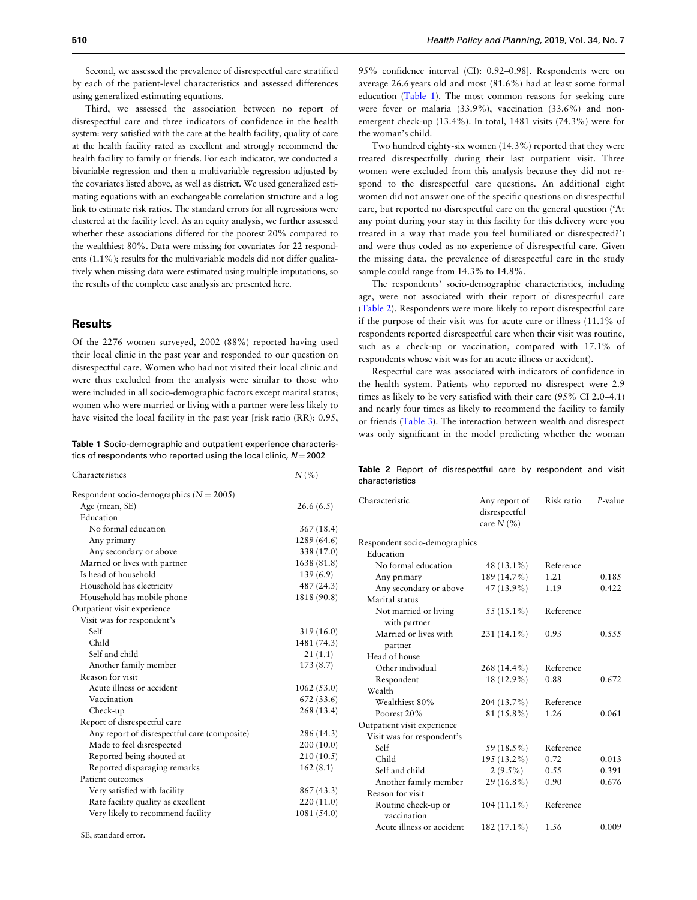<span id="page-2-0"></span>Second, we assessed the prevalence of disrespectful care stratified by each of the patient-level characteristics and assessed differences using generalized estimating equations.

Third, we assessed the association between no report of disrespectful care and three indicators of confidence in the health system: very satisfied with the care at the health facility, quality of care at the health facility rated as excellent and strongly recommend the health facility to family or friends. For each indicator, we conducted a bivariable regression and then a multivariable regression adjusted by the covariates listed above, as well as district. We used generalized estimating equations with an exchangeable correlation structure and a log link to estimate risk ratios. The standard errors for all regressions were clustered at the facility level. As an equity analysis, we further assessed whether these associations differed for the poorest 20% compared to the wealthiest 80%. Data were missing for covariates for 22 respondents (1.1%); results for the multivariable models did not differ qualitatively when missing data were estimated using multiple imputations, so the results of the complete case analysis are presented here.

## **Results**

Of the 2276 women surveyed, 2002 (88%) reported having used their local clinic in the past year and responded to our question on disrespectful care. Women who had not visited their local clinic and were thus excluded from the analysis were similar to those who were included in all socio-demographic factors except marital status; women who were married or living with a partner were less likely to have visited the local facility in the past year [risk ratio (RR): 0.95,

Table 1 Socio-demographic and outpatient experience characteristics of respondents who reported using the local clinic,  $N = 2002$ 

| Characteristics                              | $N\left(\%\right)$ |
|----------------------------------------------|--------------------|
| Respondent socio-demographics ( $N = 2005$ ) |                    |
| Age (mean, SE)                               | 26.6(6.5)          |
| Education                                    |                    |
| No formal education                          | 367(18.4)          |
| Any primary                                  | 1289 (64.6)        |
| Any secondary or above                       | 338 (17.0)         |
| Married or lives with partner                | 1638 (81.8)        |
| Is head of household                         | 139(6.9)           |
| Household has electricity                    | 487 (24.3)         |
| Household has mobile phone                   | 1818 (90.8)        |
| Outpatient visit experience                  |                    |
| Visit was for respondent's                   |                    |
| Self                                         | 319(16.0)          |
| Child                                        | 1481 (74.3)        |
| Self and child                               | 21(1.1)            |
| Another family member                        | 173 (8.7)          |
| Reason for visit                             |                    |
| Acute illness or accident                    | 1062(53.0)         |
| Vaccination                                  | 672 (33.6)         |
| Check-up                                     | 268 (13.4)         |
| Report of disrespectful care                 |                    |
| Any report of disrespectful care (composite) | 286 (14.3)         |
| Made to feel disrespected                    | 200(10.0)          |
| Reported being shouted at                    | 210(10.5)          |
| Reported disparaging remarks                 | 162(8.1)           |
| Patient outcomes                             |                    |
| Very satisfied with facility                 | 867 (43.3)         |
| Rate facility quality as excellent           | 220 (11.0)         |
| Very likely to recommend facility            | 1081 (54.0)        |

SE, standard error.

95% confidence interval (CI): 0.92–0.98]. Respondents were on average 26.6 years old and most (81.6%) had at least some formal education (Table 1). The most common reasons for seeking care were fever or malaria (33.9%), vaccination (33.6%) and nonemergent check-up (13.4%). In total, 1481 visits (74.3%) were for the woman's child.

Two hundred eighty-six women (14.3%) reported that they were treated disrespectfully during their last outpatient visit. Three women were excluded from this analysis because they did not respond to the disrespectful care questions. An additional eight women did not answer one of the specific questions on disrespectful care, but reported no disrespectful care on the general question ('At any point during your stay in this facility for this delivery were you treated in a way that made you feel humiliated or disrespected?') and were thus coded as no experience of disrespectful care. Given the missing data, the prevalence of disrespectful care in the study sample could range from 14.3% to 14.8%.

The respondents' socio-demographic characteristics, including age, were not associated with their report of disrespectful care (Table 2). Respondents were more likely to report disrespectful care if the purpose of their visit was for acute care or illness (11.1% of respondents reported disrespectful care when their visit was routine, such as a check-up or vaccination, compared with 17.1% of respondents whose visit was for an acute illness or accident).

Respectful care was associated with indicators of confidence in the health system. Patients who reported no disrespect were 2.9 times as likely to be very satisfied with their care (95% CI 2.0–4.1) and nearly four times as likely to recommend the facility to family or friends ([Table 3](#page-3-0)). The interaction between wealth and disrespect was only significant in the model predicting whether the woman

Table 2 Report of disrespectful care by respondent and visit characteristics

| Characteristic                     | Any report of<br>disrespectful<br>care $N(%)$ | Risk ratio | P-value |
|------------------------------------|-----------------------------------------------|------------|---------|
| Respondent socio-demographics      |                                               |            |         |
| Education                          |                                               |            |         |
| No formal education                | 48 (13.1%)                                    | Reference  |         |
| Any primary                        | 189 (14.7%)                                   | 1.21       | 0.185   |
| Any secondary or above             | $47(13.9\%)$                                  | 1.19       | 0.422   |
| Marital status                     |                                               |            |         |
| Not married or living              | 55 (15.1%)                                    | Reference  |         |
| with partner                       |                                               |            |         |
| Married or lives with              | 231 (14.1%)                                   | 0.93       | 0.555   |
| partner                            |                                               |            |         |
| Head of house                      |                                               |            |         |
| Other individual                   | $268(14.4\%)$                                 | Reference  |         |
| Respondent                         | 18 (12.9%)                                    | 0.88       | 0.672   |
| Wealth                             |                                               |            |         |
| Wealthiest 80%                     | 204 (13.7%)                                   | Reference  |         |
| Poorest 20%                        | 81 (15.8%)                                    | 1.26       | 0.061   |
| Outpatient visit experience        |                                               |            |         |
| Visit was for respondent's         |                                               |            |         |
| Self                               | 59 (18.5%)                                    | Reference  |         |
| Child                              | 195 (13.2%)                                   | 0.72       | 0.013   |
| Self and child                     | $2(9.5\%)$                                    | 0.55       | 0.391   |
| Another family member              | $29(16.8\%)$                                  | 0.90       | 0.676   |
| Reason for visit                   |                                               |            |         |
| Routine check-up or<br>vaccination | $104(11.1\%)$                                 | Reference  |         |
| Acute illness or accident          | 182 (17.1%)                                   | 1.56       | 0.009   |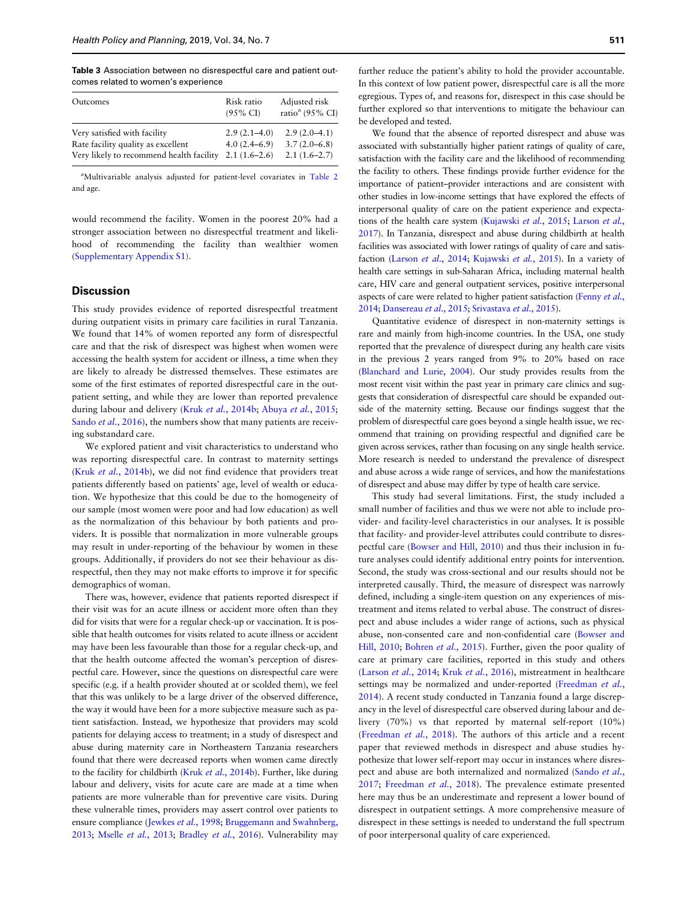<span id="page-3-0"></span>Table 3 Association between no disrespectful care and patient outcomes related to women's experience

| Outcomes                                 | Risk ratio<br>$(95\% \text{ CI})$ | Adjusted risk<br>ratio <sup>a</sup> (95% CI) |
|------------------------------------------|-----------------------------------|----------------------------------------------|
| Very satisfied with facility             | $2.9(2.1-4.0)$                    | $2.9(2.0-4.1)$                               |
| Rate facility quality as excellent       | $4.0(2.4-6.9)$                    | $3.7(2.0-6.8)$                               |
| Very likely to recommend health facility | $2.1(1.6-2.6)$                    | $2.1(1.6-2.7)$                               |

<sup>a</sup>Multivariable analysis adjusted for patient-level covariates in [Table 2](#page-2-0) and age.

would recommend the facility. Women in the poorest 20% had a stronger association between no disrespectful treatment and likelihood of recommending the facility than wealthier women ([Supplementary Appendix S1](https://academic.oup.com/heapol/article-lookup/doi/10.1093/heapol/czz071#supplementary-data)).

## **Discussion**

This study provides evidence of reported disrespectful treatment during outpatient visits in primary care facilities in rural Tanzania. We found that 14% of women reported any form of disrespectful care and that the risk of disrespect was highest when women were accessing the health system for accident or illness, a time when they are likely to already be distressed themselves. These estimates are some of the first estimates of reported disrespectful care in the outpatient setting, and while they are lower than reported prevalence during labour and delivery (Kruk et al.[, 2014b](#page-4-0); [Abuya](#page-4-0) et al., 2015; Sando et al.[, 2016\)](#page-5-0), the numbers show that many patients are receiving substandard care.

We explored patient and visit characteristics to understand who was reporting disrespectful care. In contrast to maternity settings (Kruk et al.[, 2014b](#page-4-0)), we did not find evidence that providers treat patients differently based on patients' age, level of wealth or education. We hypothesize that this could be due to the homogeneity of our sample (most women were poor and had low education) as well as the normalization of this behaviour by both patients and providers. It is possible that normalization in more vulnerable groups may result in under-reporting of the behaviour by women in these groups. Additionally, if providers do not see their behaviour as disrespectful, then they may not make efforts to improve it for specific demographics of woman.

There was, however, evidence that patients reported disrespect if their visit was for an acute illness or accident more often than they did for visits that were for a regular check-up or vaccination. It is possible that health outcomes for visits related to acute illness or accident may have been less favourable than those for a regular check-up, and that the health outcome affected the woman's perception of disrespectful care. However, since the questions on disrespectful care were specific (e.g. if a health provider shouted at or scolded them), we feel that this was unlikely to be a large driver of the observed difference, the way it would have been for a more subjective measure such as patient satisfaction. Instead, we hypothesize that providers may scold patients for delaying access to treatment; in a study of disrespect and abuse during maternity care in Northeastern Tanzania researchers found that there were decreased reports when women came directly to the facility for childbirth (Kruk et al.[, 2014b\)](#page-4-0). Further, like during labour and delivery, visits for acute care are made at a time when patients are more vulnerable than for preventive care visits. During these vulnerable times, providers may assert control over patients to ensure compliance [\(Jewkes](#page-4-0) *et al.*, 1998; [Bruggemann and Swahnberg,](#page-4-0) [2013](#page-4-0); Mselle et al.[, 2013](#page-4-0); [Bradley](#page-4-0) et al., 2016). Vulnerability may

further reduce the patient's ability to hold the provider accountable. In this context of low patient power, disrespectful care is all the more egregious. Types of, and reasons for, disrespect in this case should be further explored so that interventions to mitigate the behaviour can be developed and tested.

We found that the absence of reported disrespect and abuse was associated with substantially higher patient ratings of quality of care, satisfaction with the facility care and the likelihood of recommending the facility to others. These findings provide further evidence for the importance of patient–provider interactions and are consistent with other studies in low-income settings that have explored the effects of interpersonal quality of care on the patient experience and expectations of the health care system [\(Kujawski](#page-4-0) et al., 2015; [Larson](#page-4-0) et al., [2017](#page-4-0)). In Tanzania, disrespect and abuse during childbirth at health facilities was associated with lower ratings of quality of care and satisfaction [\(Larson](#page-4-0) et al., 2014; [Kujawski](#page-4-0) et al., 2015). In a variety of health care settings in sub-Saharan Africa, including maternal health care, HIV care and general outpatient services, positive interpersonal aspects of care were related to higher patient satisfaction [\(Fenny](#page-4-0) et al., [2014](#page-4-0); [Dansereau](#page-4-0) et al., 2015; [Srivastava](#page-5-0) et al., 2015).

Quantitative evidence of disrespect in non-maternity settings is rare and mainly from high-income countries. In the USA, one study reported that the prevalence of disrespect during any health care visits in the previous 2 years ranged from 9% to 20% based on race ([Blanchard and Lurie, 2004\)](#page-4-0). Our study provides results from the most recent visit within the past year in primary care clinics and suggests that consideration of disrespectful care should be expanded outside of the maternity setting. Because our findings suggest that the problem of disrespectful care goes beyond a single health issue, we recommend that training on providing respectful and dignified care be given across services, rather than focusing on any single health service. More research is needed to understand the prevalence of disrespect and abuse across a wide range of services, and how the manifestations of disrespect and abuse may differ by type of health care service.

This study had several limitations. First, the study included a small number of facilities and thus we were not able to include provider- and facility-level characteristics in our analyses. It is possible that facility- and provider-level attributes could contribute to disrespectful care ([Bowser and Hill, 2010\)](#page-4-0) and thus their inclusion in future analyses could identify additional entry points for intervention. Second, the study was cross-sectional and our results should not be interpreted causally. Third, the measure of disrespect was narrowly defined, including a single-item question on any experiences of mistreatment and items related to verbal abuse. The construct of disrespect and abuse includes a wider range of actions, such as physical abuse, non-consented care and non-confidential care ([Bowser and](#page-4-0) [Hill, 2010](#page-4-0); [Bohren](#page-4-0) et al., 2015). Further, given the poor quality of care at primary care facilities, reported in this study and others ([Larson](#page-4-0) et al., 2014; Kruk et al.[, 2016](#page-4-0)), mistreatment in healthcare settings may be normalized and under-reported ([Freedman](#page-4-0) et al., [2014\)](#page-4-0). A recent study conducted in Tanzania found a large discrepancy in the level of disrespectful care observed during labour and delivery (70%) vs that reported by maternal self-report (10%) ([Freedman](#page-4-0) et al., 2018). The authors of this article and a recent paper that reviewed methods in disrespect and abuse studies hypothesize that lower self-report may occur in instances where disres-pect and abuse are both internalized and normalized [\(Sando](#page-4-0) et al., [2017;](#page-4-0) [Freedman](#page-4-0) et al., 2018). The prevalence estimate presented here may thus be an underestimate and represent a lower bound of disrespect in outpatient settings. A more comprehensive measure of disrespect in these settings is needed to understand the full spectrum of poor interpersonal quality of care experienced.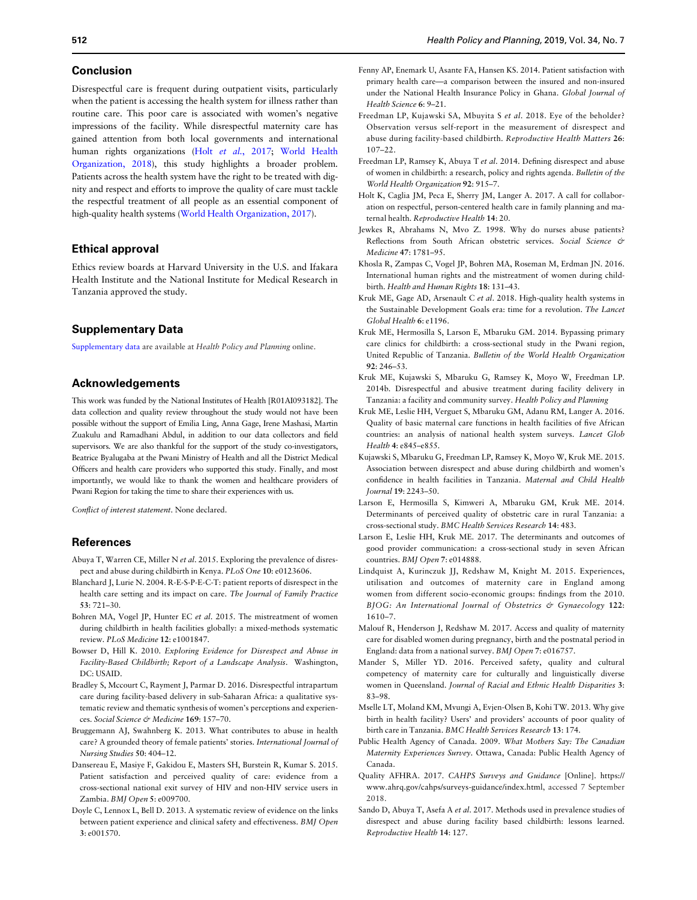#### <span id="page-4-0"></span>Conclusion

Disrespectful care is frequent during outpatient visits, particularly when the patient is accessing the health system for illness rather than routine care. This poor care is associated with women's negative impressions of the facility. While disrespectful maternity care has gained attention from both local governments and international human rights organizations (Holt et al., 2017; [World Health](#page-5-0) [Organization, 2018](#page-5-0)), this study highlights a broader problem. Patients across the health system have the right to be treated with dignity and respect and efforts to improve the quality of care must tackle the respectful treatment of all people as an essential component of high-quality health systems ([World Health Organization, 2017\)](#page-5-0).

### Ethical approval

Ethics review boards at Harvard University in the U.S. and Ifakara Health Institute and the National Institute for Medical Research in Tanzania approved the study.

## Supplementary Data

[Supplementary data](https://academic.oup.com/heapol/article-lookup/doi/10.1093/heapol/czz071#supplementary-data) are available at Health Policy and Planning online.

## Acknowledgements

This work was funded by the National Institutes of Health [R01AI093182]. The data collection and quality review throughout the study would not have been possible without the support of Emilia Ling, Anna Gage, Irene Mashasi, Martin Zuakulu and Ramadhani Abdul, in addition to our data collectors and field supervisors. We are also thankful for the support of the study co-investigators, Beatrice Byalugaba at the Pwani Ministry of Health and all the District Medical Officers and health care providers who supported this study. Finally, and most importantly, we would like to thank the women and healthcare providers of Pwani Region for taking the time to share their experiences with us.

Conflict of interest statement. None declared.

#### References

- Abuya T, Warren CE, Miller N et al. 2015. Exploring the prevalence of disrespect and abuse during childbirth in Kenya. PLoS One 10: e0123606.
- Blanchard J, Lurie N. 2004. R-E-S-P-E-C-T: patient reports of disrespect in the health care setting and its impact on care. The Journal of Family Practice 53: 721–30.
- Bohren MA, Vogel JP, Hunter EC et al. 2015. The mistreatment of women during childbirth in health facilities globally: a mixed-methods systematic review. PLoS Medicine 12: e1001847.
- Bowser D, Hill K. 2010. Exploring Evidence for Disrespect and Abuse in Facility-Based Childbirth; Report of a Landscape Analysis. Washington, DC: USAID.
- Bradley S, Mccourt C, Rayment J, Parmar D. 2016. Disrespectful intrapartum care during facility-based delivery in sub-Saharan Africa: a qualitative systematic review and thematic synthesis of women's perceptions and experiences. Social Science & Medicine 169: 157-70.
- Bruggemann AJ, Swahnberg K. 2013. What contributes to abuse in health care? A grounded theory of female patients' stories. International Journal of Nursing Studies 50: 404–12.
- Dansereau E, Masiye F, Gakidou E, Masters SH, Burstein R, Kumar S. 2015. Patient satisfaction and perceived quality of care: evidence from a cross-sectional national exit survey of HIV and non-HIV service users in Zambia. BMJ Open 5: e009700.
- Doyle C, Lennox L, Bell D. 2013. A systematic review of evidence on the links between patient experience and clinical safety and effectiveness. BMJ Open 3: e001570.
- Fenny AP, Enemark U, Asante FA, Hansen KS. 2014. Patient satisfaction with primary health care—a comparison between the insured and non-insured under the National Health Insurance Policy in Ghana. Global Journal of Health Science 6: 9–21.
- Freedman LP, Kujawski SA, Mbuyita S et al. 2018. Eye of the beholder? Observation versus self-report in the measurement of disrespect and abuse during facility-based childbirth. Reproductive Health Matters 26: 107–22.
- Freedman LP, Ramsey K, Abuya T et al. 2014. Defining disrespect and abuse of women in childbirth: a research, policy and rights agenda. Bulletin of the World Health Organization 92: 915–7.
- Holt K, Caglia JM, Peca E, Sherry JM, Langer A. 2017. A call for collaboration on respectful, person-centered health care in family planning and maternal health. Reproductive Health 14: 20.
- Jewkes R, Abrahams N, Mvo Z. 1998. Why do nurses abuse patients? Reflections from South African obstetric services. Social Science & Medicine 47: 1781–95.
- Khosla R, Zampas C, Vogel JP, Bohren MA, Roseman M, Erdman JN. 2016. International human rights and the mistreatment of women during childbirth. Health and Human Rights 18: 131–43.
- Kruk ME, Gage AD, Arsenault C et al. 2018. High-quality health systems in the Sustainable Development Goals era: time for a revolution. The Lancet Global Health 6: e1196.
- Kruk ME, Hermosilla S, Larson E, Mbaruku GM. 2014. Bypassing primary care clinics for childbirth: a cross-sectional study in the Pwani region, United Republic of Tanzania. Bulletin of the World Health Organization 92: 246–53.
- Kruk ME, Kujawski S, Mbaruku G, Ramsey K, Moyo W, Freedman LP. 2014b. Disrespectful and abusive treatment during facility delivery in Tanzania: a facility and community survey. Health Policy and Planning
- Kruk ME, Leslie HH, Verguet S, Mbaruku GM, Adanu RM, Langer A. 2016. Quality of basic maternal care functions in health facilities of five African countries: an analysis of national health system surveys. Lancet Glob Health 4: e845–e855.
- Kujawski S, Mbaruku G, Freedman LP, Ramsey K, Moyo W, Kruk ME. 2015. Association between disrespect and abuse during childbirth and women's confidence in health facilities in Tanzania. Maternal and Child Health Journal 19: 2243–50.
- Larson E, Hermosilla S, Kimweri A, Mbaruku GM, Kruk ME. 2014. Determinants of perceived quality of obstetric care in rural Tanzania: a cross-sectional study. BMC Health Services Research 14: 483.
- Larson E, Leslie HH, Kruk ME. 2017. The determinants and outcomes of good provider communication: a cross-sectional study in seven African countries. BMJ Open 7: e014888.
- Lindquist A, Kurinczuk JJ, Redshaw M, Knight M. 2015. Experiences, utilisation and outcomes of maternity care in England among women from different socio-economic groups: findings from the 2010. BJOG: An International Journal of Obstetrics & Gynaecology 122: 1610–7.
- Malouf R, Henderson J, Redshaw M. 2017. Access and quality of maternity care for disabled women during pregnancy, birth and the postnatal period in England: data from a national survey. BMJ Open 7: e016757.
- Mander S, Miller YD. 2016. Perceived safety, quality and cultural competency of maternity care for culturally and linguistically diverse women in Queensland. Journal of Racial and Ethnic Health Disparities 3: 83–98.
- Mselle LT, Moland KM, Mvungi A, Evjen-Olsen B, Kohi TW. 2013. Why give birth in health facility? Users' and providers' accounts of poor quality of birth care in Tanzania. BMC Health Services Research 13: 174.
- Public Health Agency of Canada. 2009. What Mothers Say: The Canadian Maternity Experiences Survey. Ottawa, Canada: Public Health Agency of Canada.
- Quality AFHRA. 2017. CAHPS Surveys and Guidance [Online]. [https://](https://www.ahrq.gov/cahps/surveys-guidance/index.html) [www.ahrq.gov/cahps/surveys-guidance/index.html](https://www.ahrq.gov/cahps/surveys-guidance/index.html), accessed 7 September 2018.
- Sando D, Abuya T, Asefa A et al. 2017. Methods used in prevalence studies of disrespect and abuse during facility based childbirth: lessons learned. Reproductive Health 14: 127.